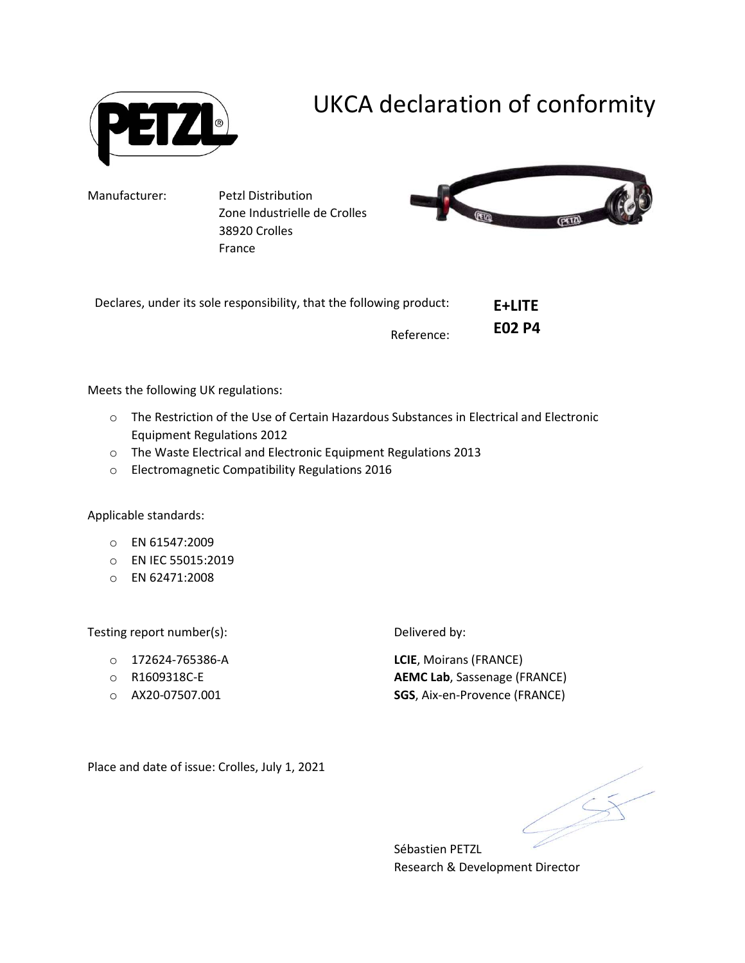

## UKCA declaration of conformity

Manufacturer: Petzl Distribution Zone Industrielle de Crolles 38920 Crolles France



| Declares, under its sole responsibility, that the following product: | E+LITE        |
|----------------------------------------------------------------------|---------------|
| Reference:                                                           | <b>E02 P4</b> |

Meets the following UK regulations:

- o The Restriction of the Use of Certain Hazardous Substances in Electrical and Electronic Equipment Regulations 2012
- o The Waste Electrical and Electronic Equipment Regulations 2013
- o Electromagnetic Compatibility Regulations 2016

Applicable standards:

- o EN 61547:2009
- o EN IEC 55015:2019
- o EN 62471:2008

Testing report number(s):

- o 172624-765386-A
- o R1609318C-E
- o AX20-07507.001

Delivered by:

LCIE, Moirans (FRANCE) AEMC Lab, Sassenage (FRANCE) SGS, Aix-en-Provence (FRANCE)

Place and date of issue: Crolles, July 1, 2021

Sébastien PETZL Research & Development Director